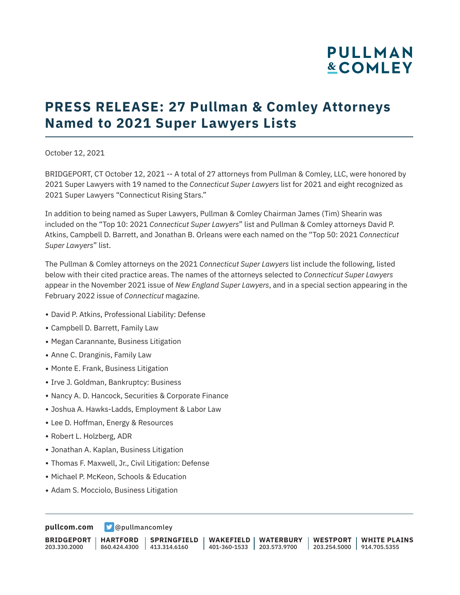### **PRESS RELEASE: 27 Pullman & Comley Attorneys Named to 2021 Super Lawyers Lists**

October 12, 2021

BRIDGEPORT, CT October 12, 2021 -- A total of 27 attorneys from Pullman & Comley, LLC, were honored by 2021 Super Lawyers with 19 named to the *Connecticut Super Lawyers* list for 2021 and eight recognized as 2021 Super Lawyers "Connecticut Rising Stars."

In addition to being named as Super Lawyers, Pullman & Comley Chairman James (Tim) Shearin was included on the "Top 10: 2021 *Connecticut Super Lawyers*" list and Pullman & Comley attorneys David P. Atkins, Campbell D. Barrett, and Jonathan B. Orleans were each named on the "Top 50: 2021 *Connecticut Super Lawyers*" list.

The Pullman & Comley attorneys on the 2021 *Connecticut Super Lawyers* list include the following, listed below with their cited practice areas. The names of the attorneys selected to *Connecticut Super Lawyers* appear in the November 2021 issue of *New England Super Lawyers*, and in a special section appearing in the February 2022 issue of *Connecticut* magazine.

- David P. Atkins, Professional Liability: Defense
- Campbell D. Barrett, Family Law
- Megan Carannante, Business Litigation
- Anne C. Dranginis, Family Law
- Monte E. Frank, Business Litigation
- Irve J. Goldman, Bankruptcy: Business
- Nancy A. D. Hancock, Securities & Corporate Finance
- Joshua A. Hawks-Ladds, Employment & Labor Law
- Lee D. Hoffman, Energy & Resources
- Robert L. Holzberg, ADR
- Jonathan A. Kaplan, Business Litigation
- Thomas F. Maxwell, Jr., Civil Litigation: Defense
- Michael P. McKeon, Schools & Education
- Adam S. Mocciolo, Business Litigation

**[pullcom.com](https://www.pullcom.com) g** [@pullmancomley](https://twitter.com/PullmanComley)

**BRIDGEPORT** 203.330.2000 **HARTFORD** 860.424.4300 413.314.6160 **SPRINGFIELD WAKEFIELD WATERBURY** 401-360-1533 203.573.9700 **WESTPORT WHITE PLAINS** 203.254.5000 914.705.5355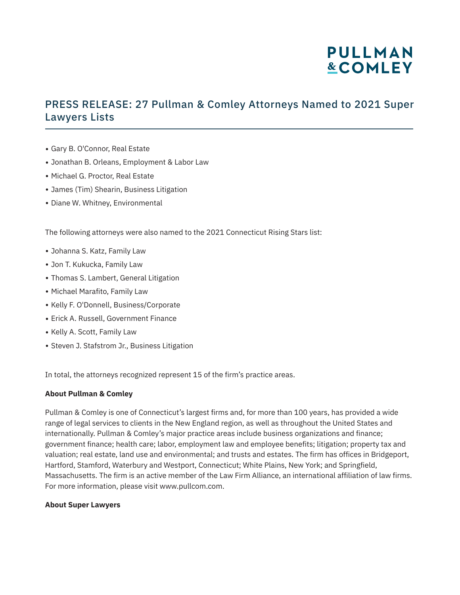### PRESS RELEASE: 27 Pullman & Comley Attorneys Named to 2021 Super Lawyers Lists

- Gary B. O'Connor, Real Estate
- Jonathan B. Orleans, Employment & Labor Law
- Michael G. Proctor, Real Estate
- James (Tim) Shearin, Business Litigation
- Diane W. Whitney, Environmental

The following attorneys were also named to the 2021 Connecticut Rising Stars list:

- Johanna S. Katz, Family Law
- Jon T. Kukucka, Family Law
- Thomas S. Lambert, General Litigation
- Michael Marafito, Family Law
- Kelly F. O'Donnell, Business/Corporate
- Erick A. Russell, Government Finance
- Kelly A. Scott, Family Law
- Steven J. Stafstrom Jr., Business Litigation

In total, the attorneys recognized represent 15 of the firm's practice areas.

#### **About Pullman & Comley**

Pullman & Comley is one of Connecticut's largest firms and, for more than 100 years, has provided a wide range of legal services to clients in the New England region, as well as throughout the United States and internationally. Pullman & Comley's major practice areas include business organizations and finance; government finance; health care; labor, employment law and employee benefits; litigation; property tax and valuation; real estate, land use and environmental; and trusts and estates. The firm has offices in Bridgeport, Hartford, Stamford, Waterbury and Westport, Connecticut; White Plains, New York; and Springfield, Massachusetts. The firm is an active member of the Law Firm Alliance, an international affiliation of law firms. For more information, please visit www.pullcom.com.

#### **About Super Lawyers**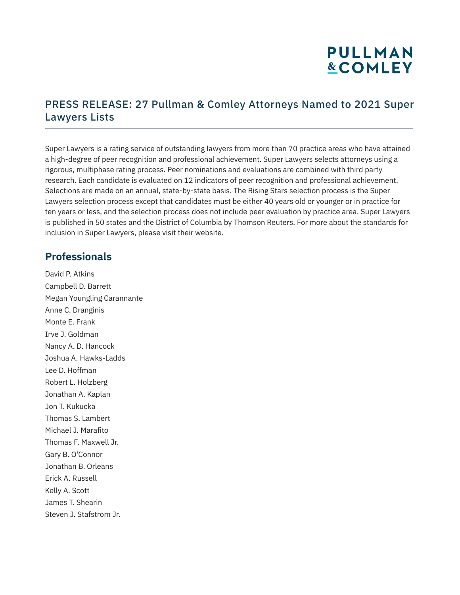### PRESS RELEASE: 27 Pullman & Comley Attorneys Named to 2021 Super Lawyers Lists

Super Lawyers is a rating service of outstanding lawyers from more than 70 practice areas who have attained a high-degree of peer recognition and professional achievement. Super Lawyers selects attorneys using a rigorous, multiphase rating process. Peer nominations and evaluations are combined with third party research. Each candidate is evaluated on 12 indicators of peer recognition and professional achievement. Selections are made on an annual, state-by-state basis. The Rising Stars selection process is the Super Lawyers selection process except that candidates must be either 40 years old or younger or in practice for ten years or less, and the selection process does not include peer evaluation by practice area. Super Lawyers is published in 50 states and the District of Columbia by Thomson Reuters. For more about the standards for inclusion in Super Lawyers, please visit their website.

#### **Professionals**

David P. Atkins Campbell D. Barrett Megan Youngling Carannante Anne C. Dranginis Monte E. Frank Irve J. Goldman Nancy A. D. Hancock Joshua A. Hawks-Ladds Lee D. Hoffman Robert L. Holzberg Jonathan A. Kaplan Jon T. Kukucka Thomas S. Lambert Michael J. Marafito Thomas F. Maxwell Jr. Gary B. O'Connor Jonathan B. Orleans Erick A. Russell Kelly A. Scott James T. Shearin Steven J. Stafstrom Jr.